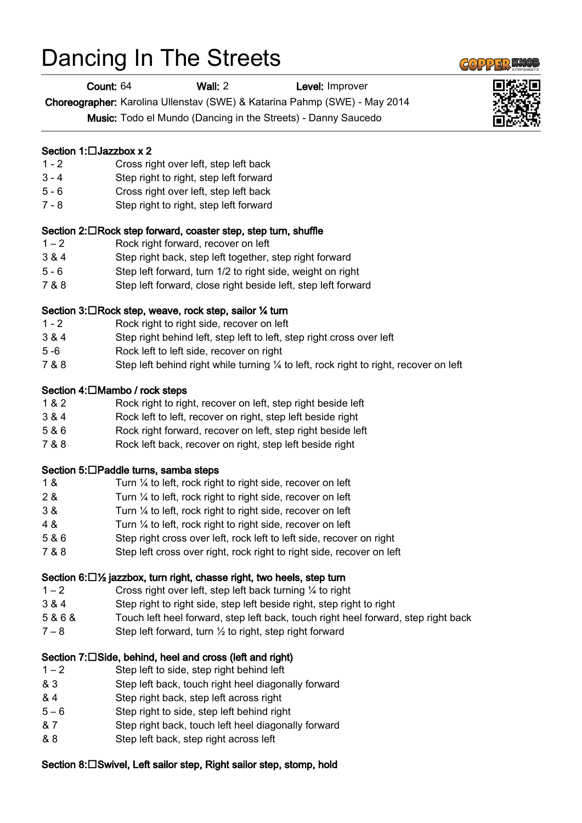# Dancing In The Streets

Count: 64 Wall: 2 Level: Improver

Choreographer: Karolina Ullenstav (SWE) & Katarina Pahmp (SWE) - May 2014

Music: Todo el Mundo (Dancing in the Streets) - Danny Saucedo

# Section 1: $\Box$ Jazzbox x 2

- 1 2 Cross right over left, step left back
- 3 4 Step right to right, step left forward
- 5 6 Cross right over left, step left back
- 7 8 Step right to right, step left forward

#### Section 2:  $\Box$  Rock step forward, coaster step, step turn, shuffle

- 1 2 Rock right forward, recover on left
- 3 & 4 Step right back, step left together, step right forward
- 5 6 Step left forward, turn 1/2 to right side, weight on right
- 7 & 8 Step left forward, close right beside left, step left forward

#### Section 3:□Rock step, weave, rock step, sailor ¼ turn

- 1 2 Rock right to right side, recover on left
- 3 & 4 Step right behind left, step left to left, step right cross over left
- 5 -6 Rock left to left side, recover on right
- 7 & 8 Step left behind right while turning ¼ to left, rock right to right, recover on left

#### Section 4:□Mambo / rock steps

- 1 & 2 Rock right to right, recover on left, step right beside left
- 3 & 4 Rock left to left, recover on right, step left beside right
- 5 & 6 Rock right forward, recover on left, step right beside left
- 7 & 8 Rock left back, recover on right, step left beside right

#### Section 5:□Paddle turns, samba steps

- 1 & Turn ¼ to left, rock right to right side, recover on left
- 2 & Turn ¼ to left, rock right to right side, recover on left
- 3 & Turn ¼ to left, rock right to right side, recover on left
- 4 & Turn ¼ to left, rock right to right side, recover on left
- 5 & 6 Step right cross over left, rock left to left side, recover on right
- 7 & 8 Step left cross over right, rock right to right side, recover on left

# Section 6: $\Box$ % jazzbox, turn right, chasse right, two heels, step turn

- 1 2 Cross right over left, step left back turning ¼ to right
- 3 & 4 Step right to right side, step left beside right, step right to right
- 5 & 6 & Touch left heel forward, step left back, touch right heel forward, step right back
- $7 8$  Step left forward, turn  $\frac{1}{2}$  to right, step right forward

# Section 7:  $\square$  Side, behind, heel and cross (left and right)

- 1 2 Step left to side, step right behind left
- & 3 Step left back, touch right heel diagonally forward
- & 4 Step right back, step left across right
- 5 6 Step right to side, step left behind right
- & 7 Step right back, touch left heel diagonally forward
- & 8 Step left back, step right across left

# Section 8:□Swivel, Left sailor step, Right sailor step, stomp, hold